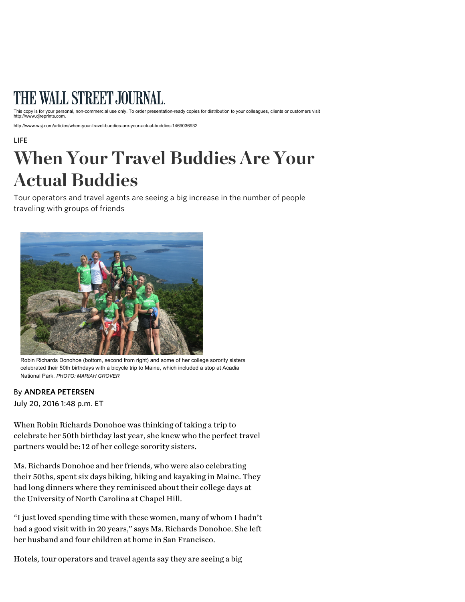## THE WALL STREET JOURNAL.

This copy is for your personal, non-commercial use only. To order presentation-ready copies for distribution to your colleagues, clients or customers visit http://www.djreprints.com.

http://www.wsj.com/articles/when-your-travel-buddies-are-your-actual-buddies-1469036932

## [LIFE](http://www.wsj.com/news/life) When Your Travel Buddies Are Your Actual Buddies

Tour operators and travel agents are seeing a big increase in the number of people traveling with groups of friends



Robin Richards Donohoe (bottom, second from right) and some of her college sorority sisters celebrated their 50th birthdays with a bicycle trip to Maine, which included a stop at Acadia National Park. *PHOTO: MARIAH GROVER*

By ANDREA PETERSEN

July 20, 2016 1:48 p.m. ET

When Robin Richards Donohoe was thinking of taking a trip to celebrate her 50th birthday last year, she knew who the perfect travel partners would be: 12 of her college sorority sisters.

Ms. Richards Donohoe and her friends, who were also celebrating their 50ths, spent six days biking, hiking and kayaking in Maine. They had long dinners where they reminisced about their college days at the University of North Carolina at Chapel Hill.

"I just loved spending time with these women, many of whom I hadn't had a good visit with in 20 years," says Ms. Richards Donohoe. She left her husband and four children at home in San Francisco.

Hotels, tour operators and travel agents say they are seeing a big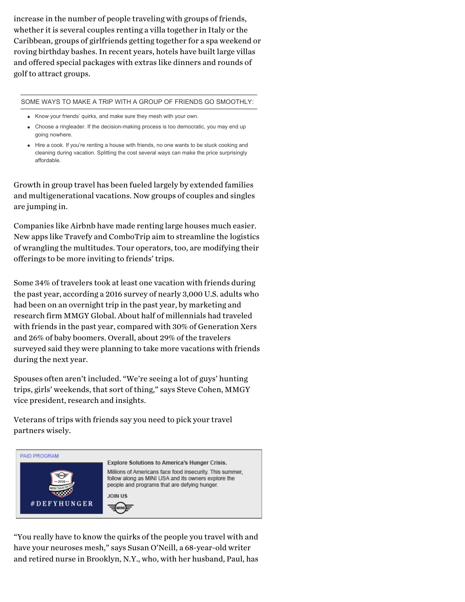increase in the number of people traveling with groups of friends, whether it is several couples renting a villa together in Italy or the Caribbean, groups of girlfriends getting together for a spa weekend or roving birthday bashes. In recent years, hotels have built large villas and offered special packages with extras like dinners and rounds of golf to attract groups.

SOME WAYS TO MAKE A TRIP WITH A GROUP OF FRIENDS GO SMOOTHLY:

- Know your friends' quirks, and make sure they mesh with your own.
- Choose a ringleader. If the decision-making process is too democratic, you may end up going nowhere.
- Hire a cook. If you're renting a house with friends, no one wants to be stuck cooking and cleaning during vacation. Splitting the cost several ways can make the price surprisingly affordable.

Growth in group travel has been fueled largely by extended families and multigenerational vacations. Now groups of couples and singles are jumping in.

Companies like Airbnb have made renting large houses much easier. New apps like Travefy and ComboTrip aim to streamline the logistics of wrangling the multitudes. Tour operators, too, are modifying their offerings to be more inviting to friends' trips.

Some 34% of travelers took at least one vacation with friends during the past year, according a 2016 survey of nearly 3,000 U.S. adults who had been on an overnight trip in the past year, by marketing and research firm MMGY Global. About half of millennials had traveled with friends in the past year, compared with 30% of Generation Xers and 26% of baby boomers. Overall, about 29% of the travelers surveyed said they were planning to take more vacations with friends during the next year.

Spouses often aren't included. "We're seeing a lot of guys' hunting trips, girls' weekends, that sort of thing," says Steve Cohen, MMGY vice president, research and insights.

Veterans of trips with friends say you need to pick your travel partners wisely.



"You really have to know the quirks of the people you travel with and have your neuroses mesh," says Susan O'Neill, a 68-year-old writer and retired nurse in Brooklyn, N.Y., who, with her husband, Paul, has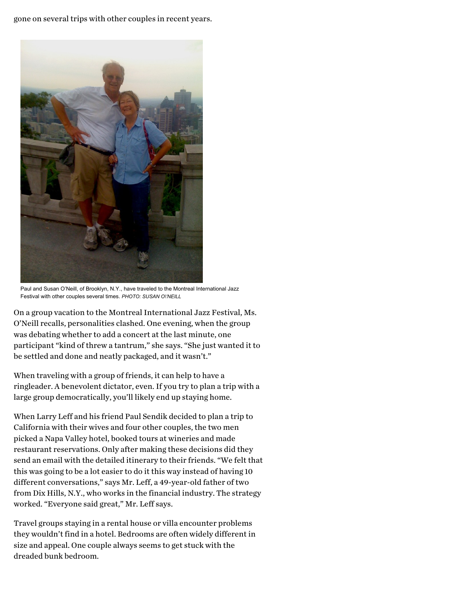gone on several trips with other couples in recent years.



Paul and Susan O'Neill, of Brooklyn, N.Y., have traveled to the Montreal International Jazz Festival with other couples several times. *PHOTO: SUSAN O\'NEILL*

On a group vacation to the Montreal International Jazz Festival, Ms. O'Neill recalls, personalities clashed. One evening, when the group was debating whether to add a concert at the last minute, one participant "kind of threw a tantrum," she says. "She just wanted it to be settled and done and neatly packaged, and it wasn't."

When traveling with a group of friends, it can help to have a ringleader. A benevolent dictator, even. If you try to plan a trip with a large group democratically, you'll likely end up staying home.

When Larry Leff and his friend Paul Sendik decided to plan a trip to California with their wives and four other couples, the two men picked a Napa Valley hotel, booked tours at wineries and made restaurant reservations. Only after making these decisions did they send an email with the detailed itinerary to their friends. "We felt that this was going to be a lot easier to do it this way instead of having 10 different conversations," says Mr. Leff, a 49-year-old father of two from Dix Hills, N.Y., who works in the financial industry. The strategy worked. "Everyone said great," Mr. Leff says.

Travel groups staying in a rental house or villa encounter problems they wouldn't find in a hotel. Bedrooms are often widely different in size and appeal. One couple always seems to get stuck with the dreaded bunk bedroom.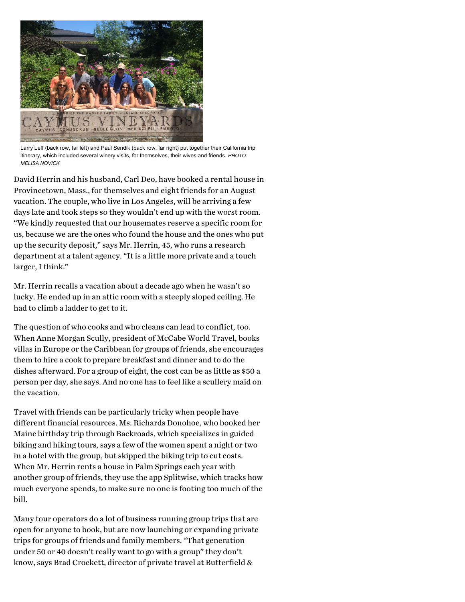

Larry Leff (back row, far left) and Paul Sendik (back row, far right) put together their California trip itinerary, which included several winery visits, for themselves, their wives and friends. *PHOTO: MELISA NOVICK*

David Herrin and his husband, Carl Deo, have booked a rental house in Provincetown, Mass., for themselves and eight friends for an August vacation. The couple, who live in Los Angeles, will be arriving a few days late and took steps so they wouldn't end up with the worst room. "We kindly requested that our housemates reserve a specific room for us, because we are the ones who found the house and the ones who put up the security deposit," says Mr. Herrin, 45, who runs a research department at a talent agency. "It is a little more private and a touch larger, I think."

Mr. Herrin recalls a vacation about a decade ago when he wasn't so lucky. He ended up in an attic room with a steeply sloped ceiling. He had to climb a ladder to get to it.

The question of who cooks and who cleans can lead to conflict, too. When Anne Morgan Scully, president of McCabe World Travel, books villas in Europe or the Caribbean for groups of friends, she encourages them to hire a cook to prepare breakfast and dinner and to do the dishes afterward. For a group of eight, the cost can be as little as \$50 a person per day, she says. And no one has to feel like a scullery maid on the vacation.

Travel with friends can be particularly tricky when people have different financial resources. Ms. Richards Donohoe, who booked her Maine birthday trip through Backroads, which specializes in guided biking and hiking tours, says a few of the women spent a night or two in a hotel with the group, but skipped the biking trip to cut costs. When Mr. Herrin rents a house in Palm Springs each year with another group of friends, they use the app Splitwise, which tracks how much everyone spends, to make sure no one is footing too much of the bill.

Many tour operators do a lot of business running group trips that are open for anyone to book, but are now launching or expanding private trips for groups of friends and family members. "That generation under 50 or 40 doesn't really want to go with a group" they don't know, says Brad Crockett, director of private travel at Butterfield &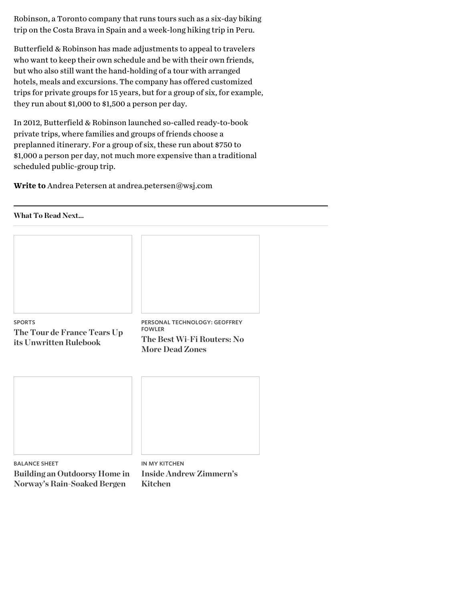Robinson, a Toronto company that runs tours such as a six-day biking trip on the Costa Brava in Spain and a week-long hiking trip in Peru.

Butterfield & Robinson has made adjustments to appeal to travelers who want to keep their own schedule and be with their own friends, but who also still want the hand-holding of a tour with arranged hotels, meals and excursions. The company has offered customized trips for private groups for 15 years, but for a group of six, for example, they run about \$1,000 to \$1,500 a person per day.

In 2012, Butterfield & Robinson launched so-called ready-to-book private trips, where families and groups of friends choose a preplanned itinerary. For a group of six, these run about \$750 to \$1,000 a person per day, not much more expensive than a traditional scheduled public-group trip.

Write to Andrea Petersen at [andrea.petersen@wsj.com](mailto:andrea.petersen@wsj.com)

What To Read Next...



SPORTS [The Tour de France Tears Up](http://api.cxense.com/public/widget/click/CdABx5jpV2eDtsGaWwJHHg7SI0Ml19mn42bARrH-cEe5VXvRFIjMN6XMkryrjN7kDT61opExCfYVqafcd53xG6E7hplUkab2386jIqxalZ3kL6KH1kSHStZY5lkco_GWYAD6hASMeaIHH7wNxb7pvRoZyda1OAlxfxTTeIVvIib1wOBMm4hsVLkhtBnPM2xV9aKyz-i2wmaTgChexhrHcR34i49wAJjkRhMkh_nLqMY_L7SXfxKaxeh93GC4o7yeIn5G2tFTHBf9T59ZUmTlRt8qO4h4n1-gCSlDHg3r1ibqdTNK2najRuG0ceUdb6oL0FKOHNrBcZHDBITpkJ1upPiklXgs2WBUmVDmU0QWoHwm8UfNV2eEoli6PsOUXCwV5g2vXNDeyOyHNqOeVlSZvtKrvKXUZVaZWwnEMUCbxvhO2kW8SXyOIJeL0Bpb72ef6lIOnl57mrlo03p6CAw5DAH0vg6k9ke0eyvuPtMhNRaXMM-SZ-20IkYQSjCyuFZ9KSHx8iD9Ytgp4BQoetMtyk6I0R1yFR1Dd4DvlwogvkIy_1waIHlUrnQFJS5A0GJOOKaI-POtZHYqvKQ3z1swQ-HQQWm4UUii3yrAglXvf1dh2Kp65FF-y2kH8cIZWIBcDOmnIWZi89WKPMtyli6akySZXj3Oh5X6tqTwYQGV1lFKpCOICf_9BRkAT3xv8ZqflA0?cx_navSource=cx_picks&cx_tag=poptarget&cx_artPos=1) its Unwritten Rulebook

PERSONAL TECHNOLOGY: GEOFFREY FOWLER [The Best Wi-Fi Routers: No](http://api.cxense.com/public/widget/click/BvmjnbUM2p_smHhVVRdocPCfz84lZRCzQ-1Ezr_BC9hLBZ8ehNVIXUqKLohsi-98TkInXAP_RyAiRq4vk7IbU959JsDaZxlZ55lf43VWYHtqPFaoxVuJ7GFPrnc4ZWhYI4eO6nxm3ogDCyeeaKlBt8josCvSe3ZPgsMMDUbNCGgfcVPsL7FFQA6gAnkFOGQKcGNKpiTM2Y246kDwVVuQHQ0xLF4er4U2JmMLcP0XSV8hkp6CVyI7wq9aa2z2WMskHxZ7sTkebcQmkyutJPgeWnXXeduRwGZX-VTczNHePXukzDecMiV4mY_GjVdMOo8MBVZnqMyF8UOlwwLkBUG1ccu431UiNQmROmL0RQQrbKF0Inmu5Bu3IV_byxUa8Xw_XuIf7LHZPVZigiiS3k616HBUw-hboMA-BJTcBxw9jCD0bjoDc3iAstQXpAiisV73oB0BdfqL4GrcfN_Q4-0J7IXZ908gSioLFoMk4ToI80dA8EcaPhYw6wjA8722VMQfDqGrrrgnPNRhQyYYjyVE8-jAdcxLXcPN1XTtaiETUq1mriPOUpDo5MCrrt54fD_k0RD7BN1Fm57Q2OWkvU20WV1XOIT3xdfmyudCFnl8bX5xVmya7s7GTHx4RJ8l2TjDiJl-pOvlkH6wtXLTFJ0RUMdaI8DrCVDjuFaAOhboqubS4BunUU6PKHdrbFL8VyDqpom5xcGi_FIW0?cx_navSource=cx_picks&cx_tag=collabctx&cx_artPos=2) More Dead Zones



BALANCE SHEET [Building an Outdoorsy Home in](http://api.cxense.com/public/widget/click/jbCpaAQj4B4fY_fKzYb2WH9w_mrHfg_DhqBYpui1GLg9tfsDemxysnLfkfI3plpB0nJlcm8sXnL6xZi8UuYjis-QAodlrG7InMm1nOftt1gHTXE9jqLjALy5rx0QGBWqwp4xpatEa2CaJARZBy61Tnd2TuRWr_xbIF_n_JWDzk6SUEcU_NiRO86oqF3dM2fw-RbcBJR_cBIaLlGR5lfTGDOGNt7arkeKIQo-CHk8HLZAYRBWHFmSy9Fel1VYtBTu691On58bA5VUp4kBSXwV6wvL77h4vFV3bCN7qz5tfJG80u4JBfGrzTFMIHmrHrvht35ICUtVB-thp-0e0kK7fKq0bhdZ4siudySRmY75_NEjgi-cMyRhxcoDIIowMYUwRQfAKtK2Tf3MTkoqYps_9Z91wDryxUlK_x4Sug43LJ4BLcvg6UxXfq62gJBUsjF_9m1a_bX_t8sbI50KrLk_giWrDQYPfOAaYSxU-OZdKAkJs0xGWSjHk-NLLBzB1nturwLwymmW4RxhbqeGAxigNcxJjs-yQLUS-_Wcbey3sIPCYa9RL0BAoGpkWWE8pvZ3037AXoiurojz5ShP1MfWbJrJhJdxe9DNIYX_pcnjwHZUKQq8XJ9moxr-hWFYpbjccB2bC6wnOvP7P0j_gf-_wLUolYYI85Mk-TEMDL8hDNetWJ_WtiVtj0PhpCk1FQmzppXWN_SC8g0?cx_navSource=cx_picks&cx_tag=poptarget&cx_artPos=3) Norway's Rain-Soaked Bergen

IN MY KITCHEN [Inside Andrew Zimmern's](http://api.cxense.com/public/widget/click/G7mF2oZjp_3bjrjhiGnZ-M2ChXgq5Q9E9fWSLTm7ey1LV7giy_aHXWmIwTAfYlWQuctUO-jNVHsc1Wq-PxsFS7hT5uhJFsiDg8XWgI1qqaUNwKmKT-0W2qyVLkuIHQQ9JOp14GDbaJ1prFvU-SEdDTp5K2mRWqb8ZGdVXIA0R6sTnnfbSjAu--wMPR5Nmey2pzzq05M8m6d9H2LVQT0U0uVaLitZP8bMxPsakGBu6KFyPny-1fbCxdPpTE0fKU58EnE6KEKVlboAeqqfijasKyjAcoymtHExoaLzuPR41gMJdnpg7k7IYkO-3GQJu_pMi5YUETEc6oT3b2abbyQbtCBJdTGA4Lb-9ej1HGLn8OuGH5GUj0jKqcbgVXwBACvc4XDr3EHUMN2QEEDZAAvoq-GpXFsmXiPV6o5gW2b0bJxDuZV1SaC-d-C1CFLeagXsr1wivbQ7Z7BfOLxWWGUl-OGOw8ePve0U7_BjLHWx_-PQFISRG4Xm5YRJnc2tlQU3mJoXOwENiLByU0kLlWowDlS787tkGXjzziAz9ncl0-hVSkOSsJjFj-m9zeA00oZbvu7ngso8mSlvygwyj0GtNGZsWcqKENL0VaKGaaGJWULr5bMgO37j4r5p5DnoH_Sdm6J66dnIcDxP8vKK2bqZBE3kgl41D3xE4RyrYGhP3i260?cx_navSource=cx_picks&cx_tag=collabctx&cx_artPos=4) Kitchen